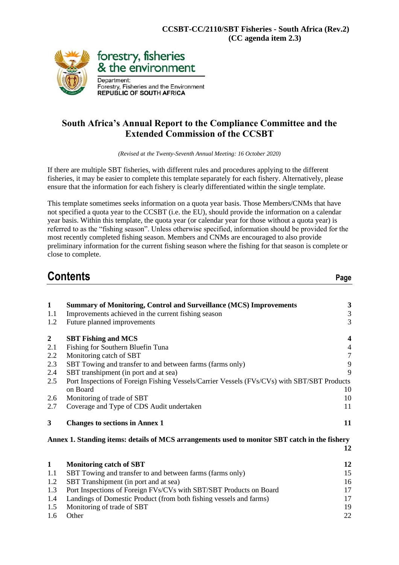

### **South Africa's Annual Report to the Compliance Committee and the Extended Commission of the CCSBT**

*(Revised at the Twenty-Seventh Annual Meeting: 16 October 2020)*

If there are multiple SBT fisheries, with different rules and procedures applying to the different fisheries, it may be easier to complete this template separately for each fishery. Alternatively, please ensure that the information for each fishery is clearly differentiated within the single template.

This template sometimes seeks information on a quota year basis. Those Members/CNMs that have not specified a quota year to the CCSBT (i.e. the EU), should provide the information on a calendar year basis. Within this template, the quota year (or calendar year for those without a quota year) is referred to as the "fishing season". Unless otherwise specified, information should be provided for the most recently completed fishing season. Members and CNMs are encouraged to also provide preliminary information for the current fishing season where the fishing for that season is complete or close to complete.

| <b>Contents</b> | аое |
|-----------------|-----|
|                 |     |

| $\mathbf{1}$ | <b>Summary of Monitoring, Control and Surveillance (MCS) Improvements</b>                     | $\mathbf{3}$            |
|--------------|-----------------------------------------------------------------------------------------------|-------------------------|
| 1.1          | Improvements achieved in the current fishing season                                           | $\mathfrak{Z}$          |
| 1.2          | Future planned improvements                                                                   | 3                       |
| $\mathbf{2}$ | <b>SBT Fishing and MCS</b>                                                                    | $\overline{\mathbf{4}}$ |
| 2.1          | Fishing for Southern Bluefin Tuna                                                             | $\overline{4}$          |
| 2.2          | Monitoring catch of SBT                                                                       | $\overline{7}$          |
| 2.3          | SBT Towing and transfer to and between farms (farms only)                                     | 9                       |
| 2.4          | SBT transhipment (in port and at sea)                                                         | 9                       |
| 2.5          | Port Inspections of Foreign Fishing Vessels/Carrier Vessels (FVs/CVs) with SBT/SBT Products   |                         |
|              | on Board                                                                                      | 10                      |
| 2.6          | Monitoring of trade of SBT                                                                    | 10                      |
| 2.7          | Coverage and Type of CDS Audit undertaken                                                     | 11                      |
|              |                                                                                               |                         |
| $\mathbf{3}$ | <b>Changes to sections in Annex 1</b>                                                         | 11                      |
|              | Annex 1. Standing items: details of MCS arrangements used to monitor SBT catch in the fishery |                         |
|              |                                                                                               | 12                      |
| $\mathbf{1}$ | <b>Monitoring catch of SBT</b>                                                                | 12                      |
| 1.1          | SBT Towing and transfer to and between farms (farms only)                                     | 15                      |
| 1.2          | SBT Transhipment (in port and at sea)                                                         | 16                      |
| 1.3          | Port Inspections of Foreign FVs/CVs with SBT/SBT Products on Board                            | 17                      |
| 1.4          | Landings of Domestic Product (from both fishing vessels and farms)                            | 17                      |
| 1.5          | Monitoring of trade of SBT                                                                    | 19                      |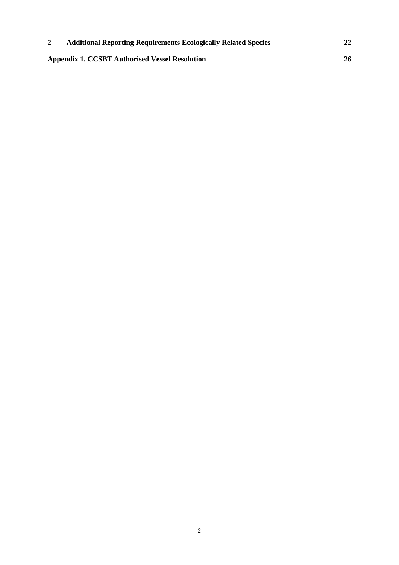| <b>Additional Reporting Requirements Ecologically Related Species</b> | 22 |
|-----------------------------------------------------------------------|----|
| <b>Appendix 1. CCSBT Authorised Vessel Resolution</b>                 | 26 |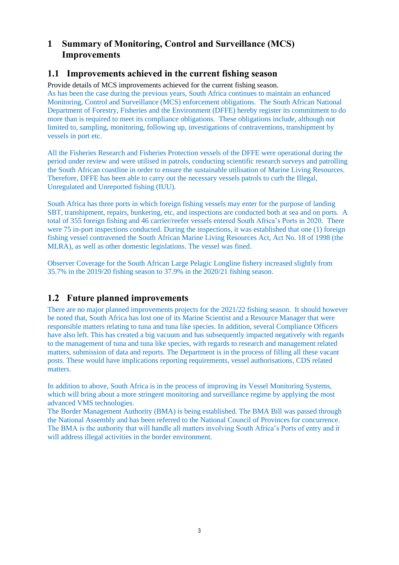### **1 Summary of Monitoring, Control and Surveillance (MCS) Improvements**

### **1.1 Improvements achieved in the current fishing season**

Provide details of MCS improvements achieved for the current fishing season. As has been the case during the previous years, South Africa continues to maintain an enhanced Monitoring, Control and Surveillance (MCS) enforcement obligations. The South African National Department of Forestry, Fisheries and the Environment (DFFE) hereby register its commitment to do more than is required to meet its compliance obligations. These obligations include, although not limited to, sampling, monitoring, following up, investigations of contraventions, transhipment by vessels in port etc.

All the Fisheries Research and Fisheries Protection vessels of the DFFE were operational during the period under review and were utilised in patrols, conducting scientific research surveys and patrolling the South African coastline in order to ensure the sustainable utilisation of Marine Living Resources. Therefore, DFFE has been able to carry out the necessary vessels patrols to curb the Illegal, Unregulated and Unreported fishing (IUU).

South Africa has three ports in which foreign fishing vessels may enter for the purpose of landing SBT, transhipment, repairs, bunkering, etc, and inspections are conducted both at sea and on ports. A total of 355 foreign fishing and 46 carrier/reefer vessels entered South Africa's Ports in 2020. There were 75 in-port inspections conducted. During the inspections, it was established that one (1) foreign fishing vessel contravened the South African Marine Living Resources Act, Act No. 18 of 1998 (the MLRA), as well as other domestic legislations. The vessel was fined.

Observer Coverage for the South African Large Pelagic Longline fishery increased slightly from 35.7% in the 2019/20 fishing season to 37.9% in the 2020/21 fishing season.

### **1.2 Future planned improvements**

There are no major planned improvements projects for the 2021/22 fishing season. It should however be noted that, South Africa has lost one of its Marine Scientist and a Resource Manager that were responsible matters relating to tuna and tuna like species. In addition, several Compliance Officers have also left. This has created a big vacuum and has subsequently impacted negatively with regards to the management of tuna and tuna like species, with regards to research and management related matters, submission of data and reports. The Department is in the process of filling all these vacant posts. These would have implications reporting requirements, vessel authorisations, CDS related matters.

In addition to above, South Africa is in the process of improving its Vessel Monitoring Systems, which will bring about a more stringent monitoring and surveillance regime by applying the most advanced VMS technologies.

The Border Management Authority (BMA) is being established. The BMA Bill was passed through the National Assembly and has been referred to the National Council of Provinces for concurrence. The BMA is the authority that will handle all matters involving South Africa's Ports of entry and it will address illegal activities in the border environment.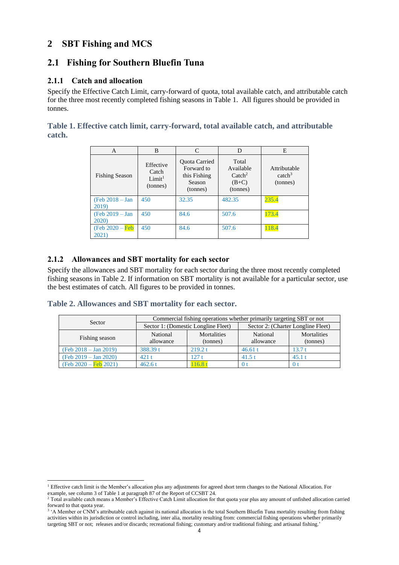### **2 SBT Fishing and MCS**

### **2.1 Fishing for Southern Bluefin Tuna**

#### **2.1.1 Catch and allocation**

Specify the Effective Catch Limit, carry-forward of quota, total available catch, and attributable catch for the three most recently completed fishing seasons in Table 1. All figures should be provided in tonnes.

**Table 1. Effective catch limit, carry-forward, total available catch, and attributable catch.** 

| А                                 | B                                                    | $\mathcal{C}_{\mathcal{C}}$                                       | D                                                             | E                                              |
|-----------------------------------|------------------------------------------------------|-------------------------------------------------------------------|---------------------------------------------------------------|------------------------------------------------|
| <b>Fishing Season</b>             | Effective<br>Catch<br>Limit <sup>1</sup><br>(tonnes) | Quota Carried<br>Forward to<br>this Fishing<br>Season<br>(tonnes) | Total<br>Available<br>$\text{Catch}^2$<br>$(B+C)$<br>(tonnes) | Attributable<br>catch <sup>3</sup><br>(tonnes) |
| $(Feb 2018 - Jan)$<br>2019)       | 450                                                  | 32.35                                                             | 482.35                                                        | 235.4                                          |
| (Feb 2019 - Jan<br>2020)          | 450                                                  | 84.6                                                              | 507.6                                                         | 173.4                                          |
| $(Feb 2020 - \text{Feb}$<br>2021) | 450                                                  | 84.6                                                              | 507.6                                                         | 118.4                                          |

#### **2.1.2 Allowances and SBT mortality for each sector**

Specify the allowances and SBT mortality for each sector during the three most recently completed fishing seasons in Table 2. If information on SBT mortality is not available for a particular sector, use the best estimates of catch. All figures to be provided in tonnes.

#### **Table 2. Allowances and SBT mortality for each sector.**

| Sector                         | Commercial fishing operations whether primarily targeting SBT or not |                                     |                                    |                         |  |
|--------------------------------|----------------------------------------------------------------------|-------------------------------------|------------------------------------|-------------------------|--|
|                                |                                                                      | Sector 1: (Domestic Longline Fleet) | Sector 2: (Charter Longline Fleet) |                         |  |
| Fishing season                 | National<br>allowance                                                | Mortalities<br>(tonnes)             | National<br>allowance              | Mortalities<br>(tonnes) |  |
| (Feb 2018 – Jan 2019)          | 388.39 t                                                             | 219.2 t                             | 46.61 t                            | 13.7 t                  |  |
| $(Feb 2019 - Jan 2020)$        | 421t                                                                 | 127t                                | 41.5t                              | 45.1 t                  |  |
| $(Feb 2020 - \text{Feb} 2021)$ | 462.6t                                                               | 16.8                                |                                    |                         |  |

<sup>1</sup> Effective catch limit is the Member's allocation plus any adjustments for agreed short term changes to the National Allocation. For example, see column 3 of Table 1 at paragraph 87 of the Report of CCSBT 24.

<sup>&</sup>lt;sup>2</sup> Total available catch means a Member's Effective Catch Limit allocation for that quota year plus any amount of unfished allocation carried forward to that quota year.

<sup>&</sup>lt;sup>3</sup> 'A Member or CNM's attributable catch against its national allocation is the total Southern Bluefin Tuna mortality resulting from fishing activities within its jurisdiction or control including, inter alia, mortality resulting from: commercial fishing operations whether primarily targeting SBT or not; releases and/or discards; recreational fishing; customary and/or traditional fishing; and artisanal fishing.'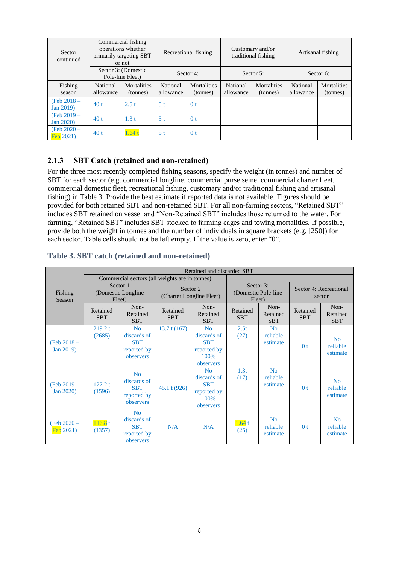| Sector<br>continued                 | Commercial fishing<br>operations whether<br>primarily targeting SBT<br>or not |                                         | Recreational fishing  |                         |                       | Customary and/or<br>traditional fishing |                       | Artisanal fishing       |
|-------------------------------------|-------------------------------------------------------------------------------|-----------------------------------------|-----------------------|-------------------------|-----------------------|-----------------------------------------|-----------------------|-------------------------|
|                                     |                                                                               | Sector 3: (Domestic<br>Pole-line Fleet) |                       | Sector 4:               |                       | Sector 5:                               |                       | Sector 6:               |
| Fishing<br>season                   | National<br>allowance                                                         | Mortalities<br>(tonnes)                 | National<br>allowance | Mortalities<br>(tonnes) | National<br>allowance | <b>Mortalities</b><br>(tonnes)          | National<br>allowance | Mortalities<br>(tonnes) |
| (Feb $2018 -$<br>Jan 2019)          | 40t                                                                           | 2.5 t                                   | 5t                    | 0 <sub>t</sub>          |                       |                                         |                       |                         |
| (Feb $2019 -$<br>Jan 2020)          | 40t                                                                           | 1.3t                                    | 5 <sup>t</sup>        | 0 <sub>t</sub>          |                       |                                         |                       |                         |
| (Feb $2020 -$<br>$\text{Feb}$ 2021) | 40t                                                                           | 1.64                                    | 5 <sub>t</sub>        | 0 <sub>t</sub>          |                       |                                         |                       |                         |

#### **2.1.3 SBT Catch (retained and non-retained)**

For the three most recently completed fishing seasons, specify the weight (in tonnes) and number of SBT for each sector (e.g. commercial longline, commercial purse seine, commercial charter fleet, commercial domestic fleet, recreational fishing, customary and/or traditional fishing and artisanal fishing) in Table 3. Provide the best estimate if reported data is not available. Figures should be provided for both retained SBT and non-retained SBT. For all non-farming sectors, "Retained SBT" includes SBT retained on vessel and "Non-Retained SBT" includes those returned to the water. For farming, "Retained SBT" includes SBT stocked to farming cages and towing mortalities. If possible, provide both the weight in tonnes and the number of individuals in square brackets (e.g. [250]) for each sector. Table cells should not be left empty. If the value is zero, enter "0".

#### Fishing Season Retained and discarded SBT Commercial sectors (all weights are in tonnes) Sector 1 (Domestic Longline Fleet) Sector 2 (Charter Longline Fleet) Sector 3: (Domestic Pole-line Fleet) Sector 4: Recreational sector Retained **SBT** Non-Retained SBT Retained SBT Non-Retained SBT Retained **SBT** Non-Retained **SBT** Retained **SBT** Non-Retained SBT (Feb 2018 – Jan 2019) 219.2 t (2685) N<sub>o</sub> discards of **SBT** reported by observers  $13.7 t (167)$  No discards of **SBT** reported by 100% observers  $2.5t$ (27)  $N<sub>0</sub>$ reliable estimate  $0 t$ No reliable estimate (Feb 2019 – Jan 2020) 127.2 t (1596) No discards of **SBT** reported by observers 45.1 t (926) No discards of **SBT** reported by 100% observers 1.3t (17) No reliable estimate  $0 t$ No reliable estimate (Feb 2020 – Feb 2021)  $116.8 t$  $(1357)$ No discards of SBT reported by observers  $N/A$   $N/A$   $\frac{1.64}{(25)}$  $(25)$ No reliable estimate  $0<sub>t</sub>$ No reliable estimate

#### **Table 3. SBT catch (retained and non-retained)**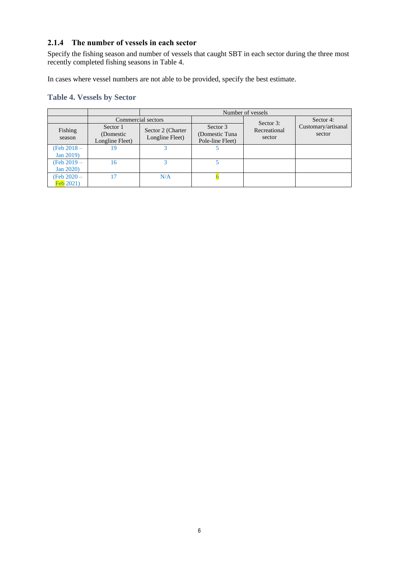#### **2.1.4 The number of vessels in each sector**

Specify the fishing season and number of vessels that caught SBT in each sector during the three most recently completed fishing seasons in Table 4.

In cases where vessel numbers are not able to be provided, specify the best estimate.

#### **Table 4. Vessels by Sector**

|                                    |                                           |                                      |                                                 | Number of vessels      |                               |
|------------------------------------|-------------------------------------------|--------------------------------------|-------------------------------------------------|------------------------|-------------------------------|
|                                    |                                           | Commercial sectors                   |                                                 | Sector 3:              | Sector 4:                     |
| Fishing<br>season                  | Sector 1<br>(Domestic)<br>Longline Fleet) | Sector 2 (Charter<br>Longline Fleet) | Sector 3<br>(Domestic Tuna)<br>Pole-line Fleet) | Recreational<br>sector | Customary/artisanal<br>sector |
| (Feb $2018 -$                      | 19                                        |                                      |                                                 |                        |                               |
| Jan 2019)                          |                                           |                                      |                                                 |                        |                               |
| (Feb $2019 -$                      | 16                                        |                                      |                                                 |                        |                               |
| <b>Jan 2020)</b>                   |                                           |                                      |                                                 |                        |                               |
| (Feb 2020 –<br>$\text{Feb } 2021)$ | 17                                        | N/A                                  |                                                 |                        |                               |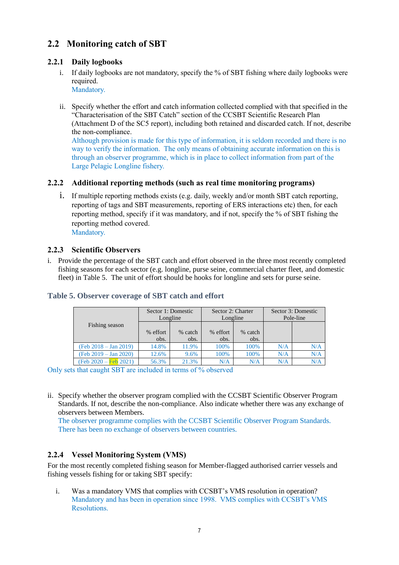## **2.2 Monitoring catch of SBT**

#### **2.2.1 Daily logbooks**

- i. If daily logbooks are not mandatory, specify the % of SBT fishing where daily logbooks were required.
	- Mandatory.
- ii. Specify whether the effort and catch information collected complied with that specified in the "Characterisation of the SBT Catch" section of the CCSBT Scientific Research Plan (Attachment D of the SC5 report), including both retained and discarded catch. If not, describe the non-compliance.

Although provision is made for this type of information, it is seldom recorded and there is no way to verify the information. The only means of obtaining accurate information on this is through an observer programme, which is in place to collect information from part of the Large Pelagic Longline fishery.

#### **2.2.2 Additional reporting methods (such as real time monitoring programs)**

i. If multiple reporting methods exists (e.g. daily, weekly and/or month SBT catch reporting, reporting of tags and SBT measurements, reporting of ERS interactions etc) then, for each reporting method, specify if it was mandatory, and if not, specify the % of SBT fishing the reporting method covered. Mandatory.

#### **2.2.3 Scientific Observers**

i. Provide the percentage of the SBT catch and effort observed in the three most recently completed fishing seasons for each sector (e.g. longline, purse seine, commercial charter fleet, and domestic fleet) in Table 5. The unit of effort should be hooks for longline and sets for purse seine.

|                         | Sector 1: Domestic<br>Longline |                 | Sector 2: Charter<br>Longline |                 | Sector 3: Domestic<br>Pole-line |     |
|-------------------------|--------------------------------|-----------------|-------------------------------|-----------------|---------------------------------|-----|
| Fishing season          | % effort<br>obs.               | % catch<br>obs. | % effort<br>obs.              | % catch<br>obs. |                                 |     |
| $(Feb 2018 - Jan 2019)$ | 14.8%                          | 11.9%           | 100%                          | 100%            | N/A                             | N/A |
| $(Feb 2019 - Jan 2020)$ | 12.6%                          | 9.6%            | 100%                          | 100%            | N/A                             | N/A |
| (Feb 2020 – Feb 2021)   | 56.3%                          | 21.3%           | N/A                           | N/A             | N/A                             | N/A |

#### **Table 5. Observer coverage of SBT catch and effort**

Only sets that caught SBT are included in terms of % observed

ii. Specify whether the observer program complied with the CCSBT Scientific Observer Program Standards. If not, describe the non-compliance. Also indicate whether there was any exchange of observers between Members.

The observer programme complies with the CCSBT Scientific Observer Program Standards. There has been no exchange of observers between countries.

### **2.2.4 Vessel Monitoring System (VMS)**

For the most recently completed fishing season for Member-flagged authorised carrier vessels and fishing vessels fishing for or taking SBT specify:

i. Was a mandatory VMS that complies with CCSBT's VMS resolution in operation? Mandatory and has been in operation since 1998. VMS complies with CCSBT's VMS Resolutions.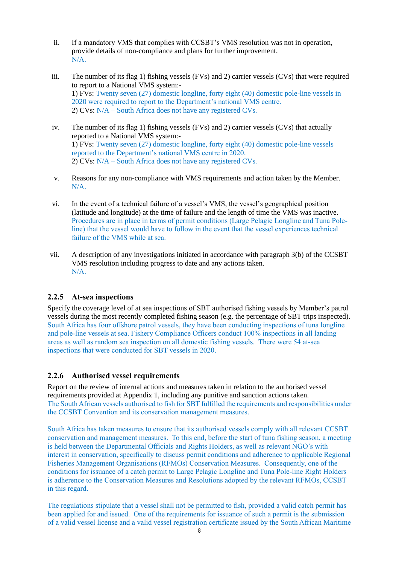- ii. If a mandatory VMS that complies with CCSBT's VMS resolution was not in operation, provide details of non-compliance and plans for further improvement. N/A.
- iii. The number of its flag 1) fishing vessels (FVs) and 2) carrier vessels (CVs) that were required to report to a National VMS system:- 1) FVs: Twenty seven (27) domestic longline, forty eight (40) domestic pole-line vessels in 2020 were required to report to the Department's national VMS centre. 2) CVs: N/A – South Africa does not have any registered CVs.
- iv. The number of its flag 1) fishing vessels (FVs) and 2) carrier vessels (CVs) that actually reported to a National VMS system:- 1) FVs: Twenty seven (27) domestic longline, forty eight (40) domestic pole-line vessels reported to the Department's national VMS centre in 2020. 2) CVs: N/A – South Africa does not have any registered CVs.
- v. Reasons for any non-compliance with VMS requirements and action taken by the Member. N/A.
- vi. In the event of a technical failure of a vessel's VMS, the vessel's geographical position (latitude and longitude) at the time of failure and the length of time the VMS was inactive. Procedures are in place in terms of permit conditions (Large Pelagic Longline and Tuna Poleline) that the vessel would have to follow in the event that the vessel experiences technical failure of the VMS while at sea.
- vii. A description of any investigations initiated in accordance with paragraph 3(b) of the CCSBT VMS resolution including progress to date and any actions taken. N/A.

#### **2.2.5 At-sea inspections**

Specify the coverage level of at sea inspections of SBT authorised fishing vessels by Member's patrol vessels during the most recently completed fishing season (e.g. the percentage of SBT trips inspected). South Africa has four offshore patrol vessels, they have been conducting inspections of tuna longline and pole-line vessels at sea. Fishery Compliance Officers conduct 100% inspections in all landing areas as well as random sea inspection on all domestic fishing vessels. There were 54 at-sea inspections that were conducted for SBT vessels in 2020.

#### **2.2.6 Authorised vessel requirements**

Report on the review of internal actions and measures taken in relation to the authorised vessel requirements provided at Appendix 1, including any punitive and sanction actions taken. The South African vessels authorised to fish for SBT fulfilled the requirements and responsibilities under the CCSBT Convention and its conservation management measures.

South Africa has taken measures to ensure that its authorised vessels comply with all relevant CCSBT conservation and management measures. To this end, before the start of tuna fishing season, a meeting is held between the Departmental Officials and Rights Holders, as well as relevant NGO's with interest in conservation, specifically to discuss permit conditions and adherence to applicable Regional Fisheries Management Organisations (RFMOs) Conservation Measures. Consequently, one of the conditions for issuance of a catch permit to Large Pelagic Longline and Tuna Pole-line Right Holders is adherence to the Conservation Measures and Resolutions adopted by the relevant RFMOs, CCSBT in this regard.

The regulations stipulate that a vessel shall not be permitted to fish, provided a valid catch permit has been applied for and issued. One of the requirements for issuance of such a permit is the submission of a valid vessel license and a valid vessel registration certificate issued by the South African Maritime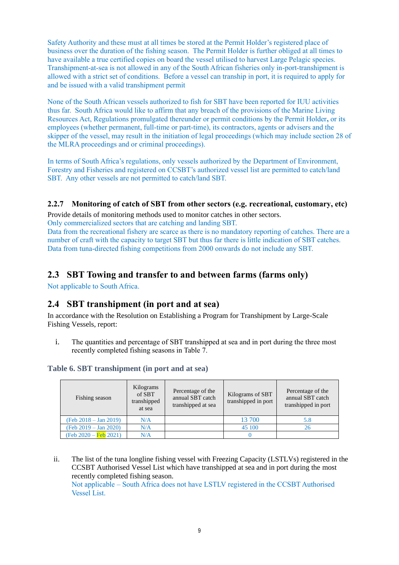Safety Authority and these must at all times be stored at the Permit Holder's registered place of business over the duration of the fishing season. The Permit Holder is further obliged at all times to have available a true certified copies on board the vessel utilised to harvest Large Pelagic species. Transhipment-at-sea is not allowed in any of the South African fisheries only in-port-transhipment is allowed with a strict set of conditions. Before a vessel can tranship in port, it is required to apply for and be issued with a valid transhipment permit

None of the South African vessels authorized to fish for SBT have been reported for IUU activities thus far. South Africa would like to affirm that any breach of the provisions of the Marine Living Resources Act, Regulations promulgated thereunder or permit conditions by the Permit Holder**,** or its employees (whether permanent, full-time or part-time), its contractors, agents or advisers and the skipper of the vessel, may result in the initiation of legal proceedings (which may include section 28 of the MLRA proceedings and or criminal proceedings).

In terms of South Africa's regulations, only vessels authorized by the Department of Environment, Forestry and Fisheries and registered on CCSBT's authorized vessel list are permitted to catch/land SBT. Any other vessels are not permitted to catch/land SBT.

#### **2.2.7 Monitoring of catch of SBT from other sectors (e.g. recreational, customary, etc)**

Provide details of monitoring methods used to monitor catches in other sectors.

Only commercialized sectors that are catching and landing SBT.

Data from the recreational fishery are scarce as there is no mandatory reporting of catches. There are a number of craft with the capacity to target SBT but thus far there is little indication of SBT catches. Data from tuna-directed fishing competitions from 2000 onwards do not include any SBT.

### **2.3 SBT Towing and transfer to and between farms (farms only)**

Not applicable to South Africa.

### **2.4 SBT transhipment (in port and at sea)**

In accordance with the Resolution on Establishing a Program for Transhipment by Large-Scale Fishing Vessels, report:

i. The quantities and percentage of SBT transhipped at sea and in port during the three most recently completed fishing seasons in Table 7.

#### **Table 6. SBT transhipment (in port and at sea)**

| Fishing season                 | Kilograms<br>of SBT<br>transhipped<br>at sea | Percentage of the<br>annual SBT catch<br>transhipped at sea | Kilograms of SBT<br>transhipped in port | Percentage of the<br>annual SBT catch<br>transhipped in port |
|--------------------------------|----------------------------------------------|-------------------------------------------------------------|-----------------------------------------|--------------------------------------------------------------|
| $(Feb 2018 - Jan 2019)$        | N/A                                          |                                                             | 13 700                                  | 5.8                                                          |
| $(Feb 2019 - Jan 2020)$        | N/A                                          |                                                             | 45 100                                  | 26                                                           |
| $(Feb 2020 - \text{Feb} 2021)$ | N/A                                          |                                                             |                                         |                                                              |

ii. The list of the tuna longline fishing vessel with Freezing Capacity (LSTLVs) registered in the CCSBT Authorised Vessel List which have transhipped at sea and in port during the most recently completed fishing season. Not applicable – South Africa does not have LSTLV registered in the CCSBT Authorised Vessel List.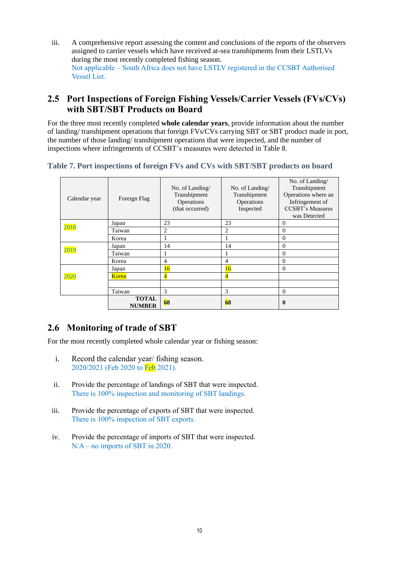iii. A comprehensive report assessing the content and conclusions of the reports of the observers assigned to carrier vessels which have received at-sea transhipments from their LSTLVs during the most recently completed fishing season. Not applicable – South Africa does not have LSTLV registered in the CCSBT Authorised Vessel List.

### **2.5 Port Inspections of Foreign Fishing Vessels/Carrier Vessels (FVs/CVs) with SBT/SBT Products on Board**

For the three most recently completed **whole calendar years**, provide information about the number of landing/ transhipment operations that foreign FVs/CVs carrying SBT or SBT product made in port, the number of those landing/ transhipment operations that were inspected, and the number of inspections where infringements of CCSBT's measures were detected in Table 8.

#### **Table 7. Port inspections of foreign FVs and CVs with SBT/SBT products on board**

| Calendar year | Foreign Flag                  | No. of Landing/<br>Transhipment<br>Operations<br>(that occurred) | No. of Landing/<br>Transhipment<br>Operations<br>Inspected | No. of Landing/<br>Transhipment<br>Operations where an<br>Infringement of<br><b>CCSBT's Measures</b><br>was Detected |
|---------------|-------------------------------|------------------------------------------------------------------|------------------------------------------------------------|----------------------------------------------------------------------------------------------------------------------|
|               | Japan                         | 23                                                               | 23                                                         | $\mathbf{0}$                                                                                                         |
| 2018          | Taiwan                        | 2                                                                | $\overline{2}$                                             | $\mathbf{0}$                                                                                                         |
|               | Korea                         |                                                                  |                                                            | $\Omega$                                                                                                             |
|               | Japan                         | 14                                                               | 14                                                         | $\Omega$                                                                                                             |
| 2019          | Taiwan                        |                                                                  |                                                            | $\Omega$                                                                                                             |
|               | Korea                         | 4                                                                | 4                                                          | $\mathbf{0}$                                                                                                         |
|               | Japan                         | 16                                                               | 16                                                         | $\mathbf{0}$                                                                                                         |
| 2020          | Korea                         | $\overline{4}$                                                   | $\overline{4}$                                             |                                                                                                                      |
|               |                               |                                                                  |                                                            |                                                                                                                      |
|               | Taiwan                        | 3                                                                | 3                                                          | $\mathbf{0}$                                                                                                         |
|               | <b>TOTAL</b><br><b>NUMBER</b> | 68                                                               | 68                                                         | $\bf{0}$                                                                                                             |

### **2.6 Monitoring of trade of SBT**

For the most recently completed whole calendar year or fishing season:

- i. Record the calendar year/ fishing season. 2020/2021 (Feb 2020 to Feb 2021).
- ii. Provide the percentage of landings of SBT that were inspected. There is 100% inspection and monitoring of SBT landings.
- iii. Provide the percentage of exports of SBT that were inspected. There is 100% inspection of SBT exports.
- iv. Provide the percentage of imports of SBT that were inspected. N/A – no imports of SBT in 2020.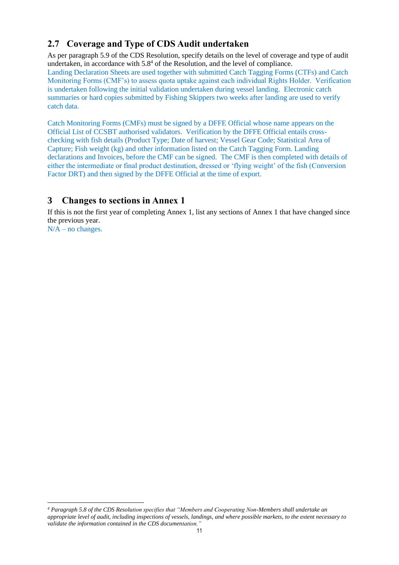## **2.7 Coverage and Type of CDS Audit undertaken**

As per paragraph 5.9 of the CDS Resolution, specify details on the level of coverage and type of audit undertaken, in accordance with  $5.8<sup>4</sup>$  of the Resolution, and the level of compliance. Landing Declaration Sheets are used together with submitted Catch Tagging Forms (CTFs) and Catch Monitoring Forms (CMF's) to assess quota uptake against each individual Rights Holder. Verification is undertaken following the initial validation undertaken during vessel landing. Electronic catch summaries or hard copies submitted by Fishing Skippers two weeks after landing are used to verify catch data.

Catch Monitoring Forms (CMFs) must be signed by a DFFE Official whose name appears on the Official List of CCSBT authorised validators. Verification by the DFFE Official entails crosschecking with fish details (Product Type; Date of harvest; Vessel Gear Code; Statistical Area of Capture; Fish weight (kg) and other information listed on the Catch Tagging Form. Landing declarations and Invoices, before the CMF can be signed. The CMF is then completed with details of either the intermediate or final product destination, dressed or 'flying weight' of the fish (Conversion Factor DRT) and then signed by the DFFE Official at the time of export.

### **3 Changes to sections in Annex 1**

If this is not the first year of completing Annex 1, list any sections of Annex 1 that have changed since the previous year.

 $N/A$  – no changes.

*<sup>4</sup> Paragraph 5.8 of the CDS Resolution specifies that "Members and Cooperating Non-Members shall undertake an appropriate level of audit, including inspections of vessels, landings, and where possible markets, to the extent necessary to validate the information contained in the CDS documentation."*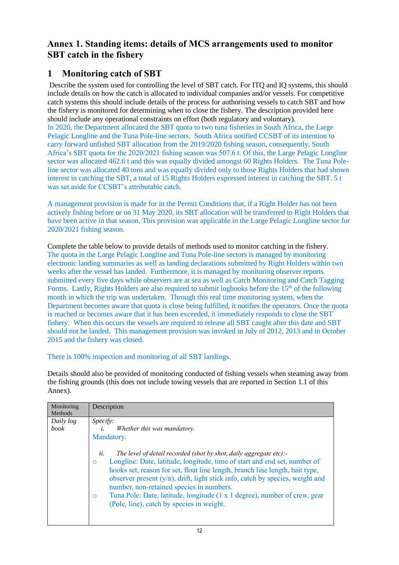### **Annex 1. Standing items: details of MCS arrangements used to monitor SBT catch in the fishery**

### **1 Monitoring catch of SBT**

Describe the system used for controlling the level of SBT catch. For ITQ and IQ systems, this should include details on how the catch is allocated to individual companies and/or vessels. For competitive catch systems this should include details of the process for authorising vessels to catch SBT and how the fishery is monitored for determining when to close the fishery. The description provided here should include any operational constraints on effort (both regulatory and voluntary). In 2020, the Department allocated the SBT quota to two tuna fisheries in South Africa, the Large Pelagic Longline and the Tuna Pole-line sectors. South Africa notified CCSBT of its intention to carry forward unfished SBT allocation from the 2019/2020 fishing season, consequently, South Africa's SBT quota for the 2020/2021 fishing season was 507.6 t. Of this, the Large Pelagic Longline sector was allocated 462.6 t and this was equally divided amongst 60 Rights Holders. The Tuna Poleline sector was allocated 40 tons and was equally divided only to those Rights Holders that had shown interest in catching the SBT, a total of 15 Rights Holders expressed interest in catching the SBT. 5 t was set aside for CCSBT's attributable catch.

A management provision is made for in the Permit Conditions that, if a Right Holder has not been actively fishing before or on 31 May 2020, its SBT allocation will be transferred to Right Holders that have been active in that season. This provision was applicable in the Large Pelagic Longline sector for 2020/2021 fishing season.

Complete the table below to provide details of methods used to monitor catching in the fishery. The quota in the Large Pelagic Longline and Tuna Pole-line sectors is managed by monitoring electronic landing summaries as well as landing declarations submitted by Right Holders within two weeks after the vessel has landed. Furthermore, it is managed by monitoring observer reports submitted every five days while observers are at sea as well as Catch Monitoring and Catch Tagging Forms. Lastly, Rights Holders are also required to submit logbooks before the 15<sup>th</sup> of the following month in which the trip was undertaken. Through this real time monitoring system, when the Department becomes aware that quota is close being fulfilled, it notifies the operators. Once the quota is reached or becomes aware that it has been exceeded, it immediately responds to close the SBT fishery. When this occurs the vessels are required to release all SBT caught after this date and SBT should not be landed. This management provision was invoked in July of 2012, 2013 and in October 2015 and the fishery was closed.

There is 100% inspection and monitoring of all SBT landings.

Details should also be provided of monitoring conducted of fishing vessels when steaming away from the fishing grounds (this does not include towing vessels that are reported in Section 1.1 of this Annex).

| Monitoring<br>Methods | Description                                                                                                                                                                                                                                                                                                                                                                                                                                                                                                                                                                                     |
|-----------------------|-------------------------------------------------------------------------------------------------------------------------------------------------------------------------------------------------------------------------------------------------------------------------------------------------------------------------------------------------------------------------------------------------------------------------------------------------------------------------------------------------------------------------------------------------------------------------------------------------|
| Daily log<br>book     | <i>Specify:</i><br>Whether this was mandatory.<br>$i$ .<br>Mandatory.<br>ii.<br>The level of detail recorded (shot by shot, daily aggregate etc):-<br>Longline: Date, latitude, longitude, time of start and end set, number of<br>$\circ$<br>hooks set, reason for set, float line length, branch line length, bait type,<br>observer present $(y/n)$ , drift, light stick info, catch by species, weight and<br>number, non-retained species in numbers.<br>Tuna Pole: Date, latitude, longitude (1 x 1 degree), number of crew, gear<br>$\circ$<br>(Pole, line), catch by species in weight. |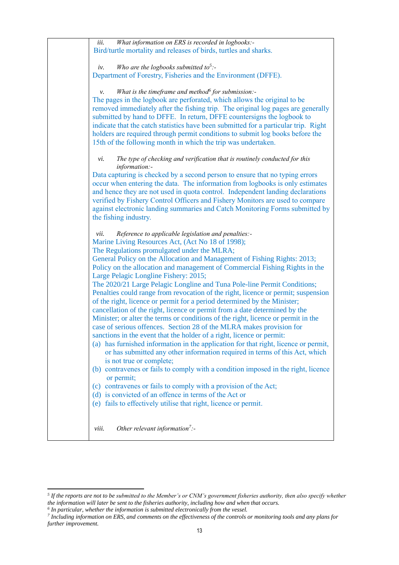| What information on ERS is recorded in logbooks:-<br>iii.                                                                |  |
|--------------------------------------------------------------------------------------------------------------------------|--|
| Bird/turtle mortality and releases of birds, turtles and sharks.                                                         |  |
| Who are the logbooks submitted to <sup>5</sup> :-<br>iv.                                                                 |  |
| Department of Forestry, Fisheries and the Environment (DFFE).                                                            |  |
| What is the timeframe and method $6$ for submission:-<br>ν.                                                              |  |
| The pages in the logbook are perforated, which allows the original to be                                                 |  |
| removed immediately after the fishing trip. The original log pages are generally                                         |  |
| submitted by hand to DFFE. In return, DFFE countersigns the logbook to                                                   |  |
| indicate that the catch statistics have been submitted for a particular trip. Right                                      |  |
| holders are required through permit conditions to submit log books before the                                            |  |
| 15th of the following month in which the trip was undertaken.                                                            |  |
| The type of checking and verification that is routinely conducted for this<br>vi.<br>information:-                       |  |
| Data capturing is checked by a second person to ensure that no typing errors                                             |  |
| occur when entering the data. The information from logbooks is only estimates                                            |  |
| and hence they are not used in quota control. Independent landing declarations                                           |  |
| verified by Fishery Control Officers and Fishery Monitors are used to compare                                            |  |
| against electronic landing summaries and Catch Monitoring Forms submitted by                                             |  |
| the fishing industry.                                                                                                    |  |
|                                                                                                                          |  |
| Reference to applicable legislation and penalties:-<br>vii.                                                              |  |
| Marine Living Resources Act, (Act No 18 of 1998);                                                                        |  |
| The Regulations promulgated under the MLRA;                                                                              |  |
| General Policy on the Allocation and Management of Fishing Rights: 2013;                                                 |  |
| Policy on the allocation and management of Commercial Fishing Rights in the                                              |  |
| Large Pelagic Longline Fishery: 2015;                                                                                    |  |
| The 2020/21 Large Pelagic Longline and Tuna Pole-line Permit Conditions;                                                 |  |
| Penalties could range from revocation of the right, licence or permit; suspension                                        |  |
| of the right, licence or permit for a period determined by the Minister;                                                 |  |
| cancellation of the right, licence or permit from a date determined by the                                               |  |
| Minister; or alter the terms or conditions of the right, licence or permit in the                                        |  |
| case of serious offences. Section 28 of the MLRA makes provision for                                                     |  |
| sanctions in the event that the holder of a right, licence or permit:                                                    |  |
| (a) has furnished information in the application for that right, licence or permit,                                      |  |
| or has submitted any other information required in terms of this Act, which                                              |  |
| is not true or complete;                                                                                                 |  |
| (b) contravenes or fails to comply with a condition imposed in the right, licence                                        |  |
| or permit;                                                                                                               |  |
|                                                                                                                          |  |
| (c) contravenes or fails to comply with a provision of the Act;<br>(d) is convicted of an offence in terms of the Act or |  |
|                                                                                                                          |  |
| (e) fails to effectively utilise that right, licence or permit.                                                          |  |
|                                                                                                                          |  |
| Other relevant information <sup>7</sup> :-<br>viii.                                                                      |  |

*<sup>5</sup> If the reports are not to be submitted to the Member's or CNM's government fisheries authority, then also specify whether*  the information will later be sent to the fisheries authority, including how and when that occurs.<br><sup>6</sup> In particular, whether the information is submitted electronically from the vessel.<br><sup>7</sup> Including information on ERS, a

*further improvement.*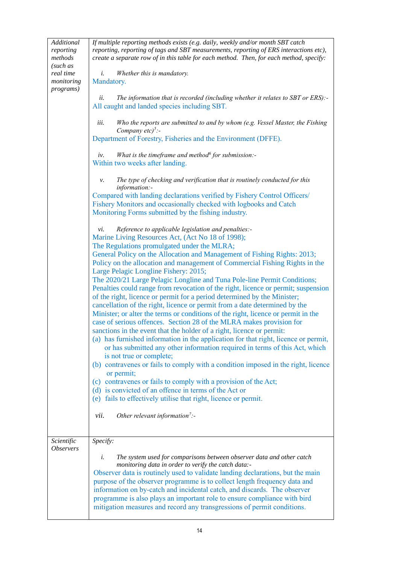| Additional<br>reporting<br>methods<br>(such as | If multiple reporting methods exists (e.g. daily, weekly and/or month SBT catch<br>reporting, reporting of tags and SBT measurements, reporting of ERS interactions etc),<br>create a separate row of in this table for each method. Then, for each method, specify:                                                                                                                                                                                                                                                                 |
|------------------------------------------------|--------------------------------------------------------------------------------------------------------------------------------------------------------------------------------------------------------------------------------------------------------------------------------------------------------------------------------------------------------------------------------------------------------------------------------------------------------------------------------------------------------------------------------------|
| real time<br>monitoring<br><i>programs</i> )   | Whether this is mandatory.<br>i.<br>Mandatory.                                                                                                                                                                                                                                                                                                                                                                                                                                                                                       |
|                                                | The information that is recorded (including whether it relates to SBT or ERS):-<br>ii.<br>All caught and landed species including SBT.                                                                                                                                                                                                                                                                                                                                                                                               |
|                                                | Who the reports are submitted to and by whom (e.g. Vessel Master, the Fishing<br>iii.<br>Company $etc)^5$ :-                                                                                                                                                                                                                                                                                                                                                                                                                         |
|                                                | Department of Forestry, Fisheries and the Environment (DFFE).                                                                                                                                                                                                                                                                                                                                                                                                                                                                        |
|                                                | What is the timeframe and method for submission:-<br>iv.<br>Within two weeks after landing.                                                                                                                                                                                                                                                                                                                                                                                                                                          |
|                                                | The type of checking and verification that is routinely conducted for this<br>ν.<br>information:-                                                                                                                                                                                                                                                                                                                                                                                                                                    |
|                                                | Compared with landing declarations verified by Fishery Control Officers/<br>Fishery Monitors and occasionally checked with logbooks and Catch<br>Monitoring Forms submitted by the fishing industry.                                                                                                                                                                                                                                                                                                                                 |
|                                                | Reference to applicable legislation and penalties:-<br>vi.                                                                                                                                                                                                                                                                                                                                                                                                                                                                           |
|                                                | Marine Living Resources Act, (Act No 18 of 1998);<br>The Regulations promulgated under the MLRA;                                                                                                                                                                                                                                                                                                                                                                                                                                     |
|                                                | General Policy on the Allocation and Management of Fishing Rights: 2013;<br>Policy on the allocation and management of Commercial Fishing Rights in the<br>Large Pelagic Longline Fishery: 2015;                                                                                                                                                                                                                                                                                                                                     |
|                                                | The 2020/21 Large Pelagic Longline and Tuna Pole-line Permit Conditions;<br>Penalties could range from revocation of the right, licence or permit; suspension<br>of the right, licence or permit for a period determined by the Minister;<br>cancellation of the right, licence or permit from a date determined by the<br>Minister; or alter the terms or conditions of the right, licence or permit in the<br>case of serious offences. Section 28 of the MLRA makes provision for                                                 |
|                                                | sanctions in the event that the holder of a right, licence or permit:                                                                                                                                                                                                                                                                                                                                                                                                                                                                |
|                                                | (a) has furnished information in the application for that right, licence or permit,<br>or has submitted any other information required in terms of this Act, which<br>is not true or complete;                                                                                                                                                                                                                                                                                                                                       |
|                                                | (b) contravenes or fails to comply with a condition imposed in the right, licence<br>or permit;                                                                                                                                                                                                                                                                                                                                                                                                                                      |
|                                                | (c) contravenes or fails to comply with a provision of the Act;                                                                                                                                                                                                                                                                                                                                                                                                                                                                      |
|                                                | (d) is convicted of an offence in terms of the Act or                                                                                                                                                                                                                                                                                                                                                                                                                                                                                |
|                                                | (e) fails to effectively utilise that right, licence or permit.                                                                                                                                                                                                                                                                                                                                                                                                                                                                      |
|                                                | Other relevant information <sup>7</sup> :-<br>vii.                                                                                                                                                                                                                                                                                                                                                                                                                                                                                   |
| Scientific<br><i><b>Observers</b></i>          | Specify:                                                                                                                                                                                                                                                                                                                                                                                                                                                                                                                             |
|                                                | The system used for comparisons between observer data and other catch<br>i.<br>monitoring data in order to verify the catch data:-<br>Observer data is routinely used to validate landing declarations, but the main<br>purpose of the observer programme is to collect length frequency data and<br>information on by-catch and incidental catch, and discards. The observer<br>programme is also plays an important role to ensure compliance with bird<br>mitigation measures and record any transgressions of permit conditions. |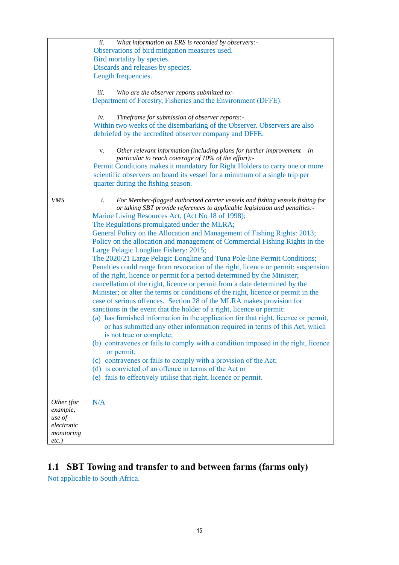|            | What information on ERS is recorded by observers:-<br>ii.                                                    |
|------------|--------------------------------------------------------------------------------------------------------------|
|            | Observations of bird mitigation measures used.                                                               |
|            | Bird mortality by species.                                                                                   |
|            | Discards and releases by species.                                                                            |
|            |                                                                                                              |
|            | Length frequencies.                                                                                          |
|            | iii.                                                                                                         |
|            | Who are the observer reports submitted to:-<br>Department of Forestry, Fisheries and the Environment (DFFE). |
|            |                                                                                                              |
|            |                                                                                                              |
|            | Timeframe for submission of observer reports:-<br>iv.                                                        |
|            | Within two weeks of the disembarking of the Observer. Observers are also                                     |
|            | debriefed by the accredited observer company and DFFE.                                                       |
|            |                                                                                                              |
|            | Other relevant information (including plans for further improvement $-$ in<br>V.                             |
|            | particular to reach coverage of 10% of the effort):-                                                         |
|            | Permit Conditions makes it mandatory for Right Holders to carry one or more                                  |
|            | scientific observers on board its vessel for a minimum of a single trip per                                  |
|            | quarter during the fishing season.                                                                           |
|            |                                                                                                              |
| <b>VMS</b> | For Member-flagged authorised carrier vessels and fishing vessels fishing for<br>$\dot{i}$ .                 |
|            | or taking SBT provide references to applicable legislation and penalties:-                                   |
|            | Marine Living Resources Act, (Act No 18 of 1998);                                                            |
|            | The Regulations promulgated under the MLRA;                                                                  |
|            | General Policy on the Allocation and Management of Fishing Rights: 2013;                                     |
|            | Policy on the allocation and management of Commercial Fishing Rights in the                                  |
|            | Large Pelagic Longline Fishery: 2015;                                                                        |
|            | The 2020/21 Large Pelagic Longline and Tuna Pole-line Permit Conditions;                                     |
|            | Penalties could range from revocation of the right, licence or permit; suspension                            |
|            | of the right, licence or permit for a period determined by the Minister;                                     |
|            | cancellation of the right, licence or permit from a date determined by the                                   |
|            | Minister; or alter the terms or conditions of the right, licence or permit in the                            |
|            | case of serious offences. Section 28 of the MLRA makes provision for                                         |
|            | sanctions in the event that the holder of a right, licence or permit:                                        |
|            |                                                                                                              |
|            | (a) has furnished information in the application for that right, licence or permit,                          |
|            | or has submitted any other information required in terms of this Act, which                                  |
|            | is not true or complete;                                                                                     |
|            | (b) contravenes or fails to comply with a condition imposed in the right, licence                            |
|            | or permit;                                                                                                   |
|            | (c) contravenes or fails to comply with a provision of the Act;                                              |
|            | (d) is convicted of an offence in terms of the Act or                                                        |
|            | (e) fails to effectively utilise that right, licence or permit.                                              |
|            |                                                                                                              |
|            |                                                                                                              |
| Other (for | N/A                                                                                                          |
| example,   |                                                                                                              |
| use of     |                                                                                                              |
| electronic |                                                                                                              |
| monitoring |                                                                                                              |
| $etc.$ )   |                                                                                                              |

# **1.1 SBT Towing and transfer to and between farms (farms only)**

Not applicable to South Africa.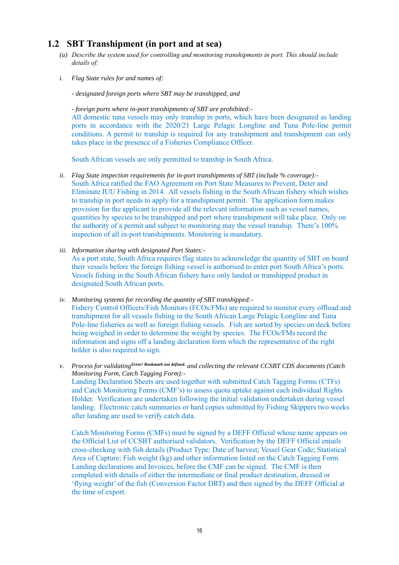### **1.2 SBT Transhipment (in port and at sea)**

- *(a) Describe the system used for controlling and monitoring transhipments in port. This should include details of:*
- *i. Flag State rules for and names of:*
	- *- designated foreign ports where SBT may be transhipped, and*

*- foreign ports where in-port transhipments of SBT are prohibited:-*

All domestic tuna vessels may only tranship in ports, which have been designated as landing ports in accordance with the 2020/21 Large Pelagic Longline and Tuna Pole-line permit conditions. A permit to tranship is required for any transhipment and transhipment can only takes place in the presence of a Fisheries Compliance Officer.

South African vessels are only permitted to tranship in South Africa.

- *ii. Flag State inspection requirements for in-port transhipments of SBT (include % coverage):-* South Africa ratified the FAO Agreement on Port State Measures to Prevent, Deter and Eliminate IUU Fishing in 2014. All vessels fishing in the South African fishery which wishes to tranship in port needs to apply for a transhipment permit. The application form makes provision for the applicant to provide all the relevant information such as vessel names, quantities by species to be transhipped and port where transhipment will take place. Only on the authority of a permit and subject to monitoring may the vessel tranship. There's 100% inspection of all in-port transhipments. Monitoring is mandatory.
- *iii. Information sharing with designated Port States:-*

As a port state, South Africa requires flag states to acknowledge the quantity of SBT on board their vessels before the foreign fishing vessel is authorised to enter port South Africa's ports. Vessels fishing in the South African fishery have only landed or transhipped product in designated South African ports.

*iv. Monitoring systems for recording the quantity of SBT transhipped:-* Fishery Control Officers/Fish Monitors (FCOs/FMs) are required to monitor every offload and transhipment for all vessels fishing in the South African Large Pelagic Longline and Tuna Pole-line fisheries as well as foreign fishing vessels. Fish are sorted by species on deck before being weighed in order to determine the weight by species. The FCOs/FMs record the information and signs off a landing declaration form which the representative of the right holder is also required to sign.

*v. Process for validatingError! Bookmark not defined. and collecting the relevant CCSBT CDS documents (Catch Monitoring Form, Catch Tagging Form):-* Landing Declaration Sheets are used together with submitted Catch Tagging Forms (CTFs) and Catch Monitoring Forms (CMF's) to assess quota uptake against each individual Rights Holder. Verification are undertaken following the initial validation undertaken during vessel landing. Electronic catch summaries or hard copies submitted by Fishing Skippers two weeks after landing are used to verify catch data.

Catch Monitoring Forms (CMFs) must be signed by a DEFF Official whose name appears on the Official List of CCSBT authorised validators. Verification by the DEFF Official entails cross-checking with fish details (Product Type; Date of harvest; Vessel Gear Code; Statistical Area of Capture; Fish weight (kg) and other information listed on the Catch Tagging Form. Landing declarations and Invoices, before the CMF can be signed. The CMF is then completed with details of either the intermediate or final product destination, dressed or 'flying weight' of the fish (Conversion Factor DRT) and then signed by the DEFF Official at the time of export.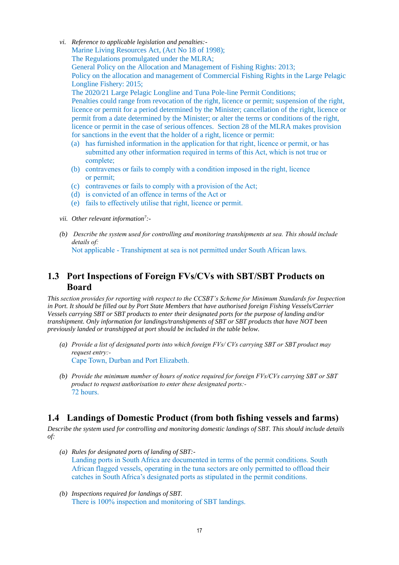- *vi. Reference to applicable legislation and penalties:-* Marine Living Resources Act, (Act No 18 of 1998); The Regulations promulgated under the MLRA; General Policy on the Allocation and Management of Fishing Rights: 2013; Policy on the allocation and management of Commercial Fishing Rights in the Large Pelagic Longline Fishery: 2015; The 2020/21 Large Pelagic Longline and Tuna Pole-line Permit Conditions; Penalties could range from revocation of the right, licence or permit; suspension of the right, licence or permit for a period determined by the Minister; cancellation of the right, licence or permit from a date determined by the Minister; or alter the terms or conditions of the right, licence or permit in the case of serious offences. Section 28 of the MLRA makes provision for sanctions in the event that the holder of a right, licence or permit:
	- (a) has furnished information in the application for that right, licence or permit, or has submitted any other information required in terms of this Act, which is not true or complete;
	- (b) contravenes or fails to comply with a condition imposed in the right, licence or permit;
	- (c) contravenes or fails to comply with a provision of the Act;
	- (d) is convicted of an offence in terms of the Act or
	- (e) fails to effectively utilise that right, licence or permit.
- *vii. Other relevant information<sup>7</sup> :-*
- *(b) Describe the system used for controlling and monitoring transhipments at sea. This should include details of:*

Not applicable - Transhipment at sea is not permitted under South African laws.

### **1.3 Port Inspections of Foreign FVs/CVs with SBT/SBT Products on Board**

*This section provides for reporting with respect to the CCSBT's Scheme for Minimum Standards for Inspection in Port. It should be filled out by Port State Members that have authorised foreign Fishing Vessels/Carrier Vessels carrying SBT or SBT products to enter their designated ports for the purpose of landing and/or transhipment. Only information for landings/transhipments of SBT or SBT products that have NOT been previously landed or transhipped at port should be included in the table below.*

- *(a) Provide a list of designated ports into which foreign FVs/ CVs carrying SBT or SBT product may request entry:-* Cape Town, Durban and Port Elizabeth.
- *(b) Provide the minimum number of hours of notice required for foreign FVs/CVs carrying SBT or SBT product to request authorisation to enter these designated ports:-* 72 hours.

### **1.4 Landings of Domestic Product (from both fishing vessels and farms)**

*Describe the system used for controlling and monitoring domestic landings of SBT. This should include details of:*

- *(a) Rules for designated ports of landing of SBT:-* Landing ports in South Africa are documented in terms of the permit conditions. South African flagged vessels, operating in the tuna sectors are only permitted to offload their catches in South Africa's designated ports as stipulated in the permit conditions.
- *(b) Inspections required for landings of SBT.*  There is 100% inspection and monitoring of SBT landings.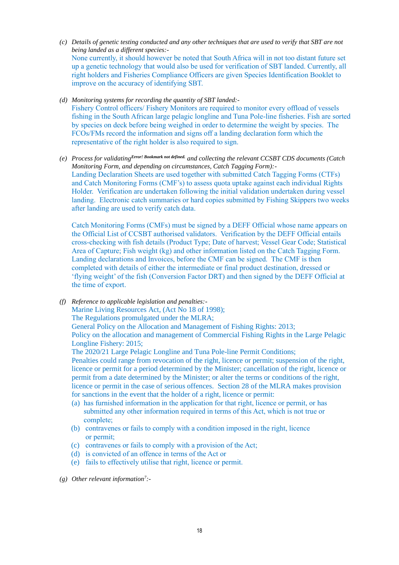- *(c) Details of genetic testing conducted and any other techniques that are used to verify that SBT are not being landed as a different species:-* None currently, it should however be noted that South Africa will in not too distant future set up a genetic technology that would also be used for verification of SBT landed. Currently, all right holders and Fisheries Compliance Officers are given Species Identification Booklet to improve on the accuracy of identifying SBT.
- *(d) Monitoring systems for recording the quantity of SBT landed:-* Fishery Control officers/ Fishery Monitors are required to monitor every offload of vessels fishing in the South African large pelagic longline and Tuna Pole-line fisheries. Fish are sorted by species on deck before being weighed in order to determine the weight by species. The FCOs/FMs record the information and signs off a landing declaration form which the representative of the right holder is also required to sign.
- *(e) Process for validatingError! Bookmark not defined. and collecting the relevant CCSBT CDS documents (Catch Monitoring Form, and depending on circumstances, Catch Tagging Form):-* Landing Declaration Sheets are used together with submitted Catch Tagging Forms (CTFs) and Catch Monitoring Forms (CMF's) to assess quota uptake against each individual Rights Holder. Verification are undertaken following the initial validation undertaken during vessel landing. Electronic catch summaries or hard copies submitted by Fishing Skippers two weeks after landing are used to verify catch data.

Catch Monitoring Forms (CMFs) must be signed by a DEFF Official whose name appears on the Official List of CCSBT authorised validators. Verification by the DEFF Official entails cross-checking with fish details (Product Type; Date of harvest; Vessel Gear Code; Statistical Area of Capture; Fish weight (kg) and other information listed on the Catch Tagging Form. Landing declarations and Invoices, before the CMF can be signed. The CMF is then completed with details of either the intermediate or final product destination, dressed or 'flying weight' of the fish (Conversion Factor DRT) and then signed by the DEFF Official at the time of export.

*(f) Reference to applicable legislation and penalties:-* Marine Living Resources Act, (Act No 18 of 1998);

The Regulations promulgated under the MLRA;

General Policy on the Allocation and Management of Fishing Rights: 2013;

Policy on the allocation and management of Commercial Fishing Rights in the Large Pelagic Longline Fishery: 2015;

The 2020/21 Large Pelagic Longline and Tuna Pole-line Permit Conditions;

Penalties could range from revocation of the right, licence or permit; suspension of the right, licence or permit for a period determined by the Minister; cancellation of the right, licence or permit from a date determined by the Minister; or alter the terms or conditions of the right, licence or permit in the case of serious offences. Section 28 of the MLRA makes provision for sanctions in the event that the holder of a right, licence or permit:

- (a) has furnished information in the application for that right, licence or permit, or has submitted any other information required in terms of this Act, which is not true or complete;
- (b) contravenes or fails to comply with a condition imposed in the right, licence or permit;
- (c) contravenes or fails to comply with a provision of the Act;
- (d) is convicted of an offence in terms of the Act or
- (e) fails to effectively utilise that right, licence or permit.
- *(g) Other relevant information<sup>7</sup> :-*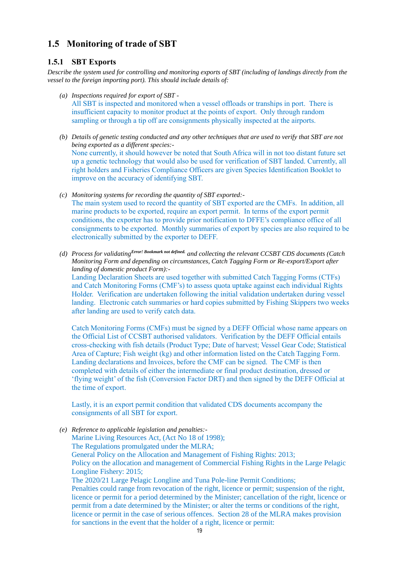### **1.5 Monitoring of trade of SBT**

#### **1.5.1 SBT Exports**

*Describe the system used for controlling and monitoring exports of SBT (including of landings directly from the vessel to the foreign importing port). This should include details of:*

- *(a) Inspections required for export of SBT -* All SBT is inspected and monitored when a vessel offloads or tranships in port. There is insufficient capacity to monitor product at the points of export. Only through random sampling or through a tip off are consignments physically inspected at the airports.
- *(b) Details of genetic testing conducted and any other techniques that are used to verify that SBT are not being exported as a different species:-* None currently, it should however be noted that South Africa will in not too distant future set up a genetic technology that would also be used for verification of SBT landed. Currently, all right holders and Fisheries Compliance Officers are given Species Identification Booklet to improve on the accuracy of identifying SBT.
- *(c) Monitoring systems for recording the quantity of SBT exported:-* The main system used to record the quantity of SBT exported are the CMFs. In addition, all marine products to be exported, require an export permit. In terms of the export permit conditions, the exporter has to provide prior notification to DFFE's compliance office of all consignments to be exported. Monthly summaries of export by species are also required to be electronically submitted by the exporter to DEFF.
- *(d) Process for validatingError! Bookmark not defined. and collecting the relevant CCSBT CDS documents (Catch Monitoring Form and depending on circumstances, Catch Tagging Form or Re-export/Export after landing of domestic product Form):-*

Landing Declaration Sheets are used together with submitted Catch Tagging Forms (CTFs) and Catch Monitoring Forms (CMF's) to assess quota uptake against each individual Rights Holder. Verification are undertaken following the initial validation undertaken during vessel landing. Electronic catch summaries or hard copies submitted by Fishing Skippers two weeks after landing are used to verify catch data.

Catch Monitoring Forms (CMFs) must be signed by a DEFF Official whose name appears on the Official List of CCSBT authorised validators. Verification by the DEFF Official entails cross-checking with fish details (Product Type; Date of harvest; Vessel Gear Code; Statistical Area of Capture; Fish weight (kg) and other information listed on the Catch Tagging Form. Landing declarations and Invoices, before the CMF can be signed. The CMF is then completed with details of either the intermediate or final product destination, dressed or 'flying weight' of the fish (Conversion Factor DRT) and then signed by the DEFF Official at the time of export.

Lastly, it is an export permit condition that validated CDS documents accompany the consignments of all SBT for export.

*(e) Reference to applicable legislation and penalties:-* Marine Living Resources Act, (Act No 18 of 1998); The Regulations promulgated under the MLRA; General Policy on the Allocation and Management of Fishing Rights: 2013; Policy on the allocation and management of Commercial Fishing Rights in the Large Pelagic Longline Fishery: 2015; The 2020/21 Large Pelagic Longline and Tuna Pole-line Permit Conditions; Penalties could range from revocation of the right, licence or permit; suspension of the right, licence or permit for a period determined by the Minister; cancellation of the right, licence or permit from a date determined by the Minister; or alter the terms or conditions of the right, licence or permit in the case of serious offences. Section 28 of the MLRA makes provision for sanctions in the event that the holder of a right, licence or permit: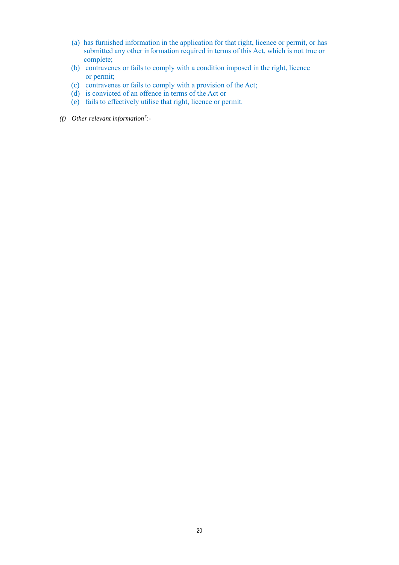- (a) has furnished information in the application for that right, licence or permit, or has submitted any other information required in terms of this Act, which is not true or complete;
- (b) contravenes or fails to comply with a condition imposed in the right, licence or permit;
- (c) contravenes or fails to comply with a provision of the Act;
- (d) is convicted of an offence in terms of the Act or
- (e) fails to effectively utilise that right, licence or permit.
- *(f) Other relevant information<sup>7</sup> :-*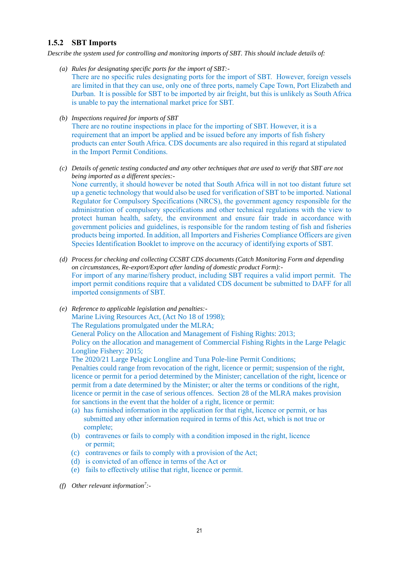#### **1.5.2 SBT Imports**

*Describe the system used for controlling and monitoring imports of SBT. This should include details of:*

- *(a) Rules for designating specific ports for the import of SBT:-*
	- There are no specific rules designating ports for the import of SBT. However, foreign vessels are limited in that they can use, only one of three ports, namely Cape Town, Port Elizabeth and Durban. It is possible for SBT to be imported by air freight, but this is unlikely as South Africa is unable to pay the international market price for SBT.
- *(b) Inspections required for imports of SBT*

There are no routine inspections in place for the importing of SBT. However, it is a requirement that an import be applied and be issued before any imports of fish fishery products can enter South Africa. CDS documents are also required in this regard at stipulated in the Import Permit Conditions.

- *(c) Details of genetic testing conducted and any other techniques that are used to verify that SBT are not being imported as a different species:-* None currently, it should however be noted that South Africa will in not too distant future set up a genetic technology that would also be used for verification of SBT to be imported. National Regulator for Compulsory Specifications (NRCS), the government agency responsible for the administration of compulsory specifications and other technical regulations with the view to protect human health, safety, the environment and ensure fair trade in accordance with government policies and guidelines, is responsible for the random testing of fish and fisheries products being imported. In addition, all Importers and Fisheries Compliance Officers are given Species Identification Booklet to improve on the accuracy of identifying exports of SBT.
- *(d) Process for checking and collecting CCSBT CDS documents (Catch Monitoring Form and depending on circumstances, Re-export/Export after landing of domestic product Form):-* For import of any marine/fishery product, including SBT requires a valid import permit. The import permit conditions require that a validated CDS document be submitted to DAFF for all imported consignments of SBT.
- *(e) Reference to applicable legislation and penalties:-* Marine Living Resources Act, (Act No 18 of 1998); The Regulations promulgated under the MLRA; General Policy on the Allocation and Management of Fishing Rights: 2013; Policy on the allocation and management of Commercial Fishing Rights in the Large Pelagic Longline Fishery: 2015; The 2020/21 Large Pelagic Longline and Tuna Pole-line Permit Conditions; Penalties could range from revocation of the right, licence or permit; suspension of the right, licence or permit for a period determined by the Minister; cancellation of the right, licence or permit from a date determined by the Minister; or alter the terms or conditions of the right, licence or permit in the case of serious offences. Section 28 of the MLRA makes provision for sanctions in the event that the holder of a right, licence or permit:
	- (a) has furnished information in the application for that right, licence or permit, or has submitted any other information required in terms of this Act, which is not true or complete;
	- (b) contravenes or fails to comply with a condition imposed in the right, licence or permit;
	- (c) contravenes or fails to comply with a provision of the Act;
	- (d) is convicted of an offence in terms of the Act or
	- (e) fails to effectively utilise that right, licence or permit.
- *(f) Other relevant information<sup>7</sup> :-*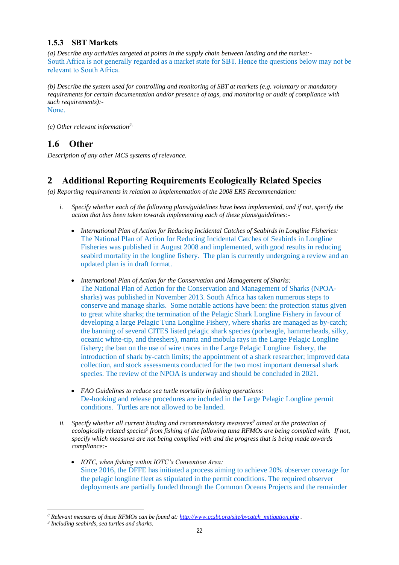#### **1.5.3 SBT Markets**

*(a) Describe any activities targeted at points in the supply chain between landing and the market:-* South Africa is not generally regarded as a market state for SBT. Hence the questions below may not be relevant to South Africa.

*(b) Describe the system used for controlling and monitoring of SBT at markets (e.g. voluntary or mandatory requirements for certain documentation and/or presence of tags, and monitoring or audit of compliance with such requirements):-*

None.

*(c) Other relevant information7\*

### **1.6 Other**

*Description of any other MCS systems of relevance.*

### **2 Additional Reporting Requirements Ecologically Related Species**

*(a) Reporting requirements in relation to implementation of the 2008 ERS Recommendation:*

- *i. Specify whether each of the following plans/guidelines have been implemented, and if not, specify the action that has been taken towards implementing each of these plans/guidelines:-*
	- *International Plan of Action for Reducing Incidental Catches of Seabirds in Longline Fisheries:* The National Plan of Action for Reducing Incidental Catches of Seabirds in Longline Fisheries was published in August 2008 and implemented, with good results in reducing seabird mortality in the longline fishery. The plan is currently undergoing a review and an updated plan is in draft format.
	- *International Plan of Action for the Conservation and Management of Sharks:* The National Plan of Action for the Conservation and Management of Sharks (NPOAsharks) was published in November 2013. South Africa has taken numerous steps to conserve and manage sharks. Some notable actions have been: the protection status given to great white sharks; the termination of the Pelagic Shark Longline Fishery in favour of developing a large Pelagic Tuna Longline Fishery, where sharks are managed as by-catch; the banning of several CITES listed pelagic shark species (porbeagle, hammerheads, silky, oceanic white-tip, and threshers), manta and mobula rays in the Large Pelagic Longline fishery; the ban on the use of wire traces in the Large Pelagic Longline fishery, the introduction of shark by-catch limits; the appointment of a shark researcher; improved data collection, and stock assessments conducted for the two most important demersal shark species. The review of the NPOA is underway and should be concluded in 2021.
	- *FAO Guidelines to reduce sea turtle mortality in fishing operations:* De-hooking and release procedures are included in the Large Pelagic Longline permit conditions. Turtles are not allowed to be landed.
- *ii. Specify whether all current binding and recommendatory measures<sup>8</sup> aimed at the protection of ecologically related species<sup>9</sup> from fishing of the following tuna RFMOs are being complied with. If not, specify which measures are not being complied with and the progress that is being made towards compliance:-*
	- *IOTC, when fishing within IOTC's Convention Area:* Since 2016, the DFFE has initiated a process aiming to achieve 20% observer coverage for the pelagic longline fleet as stipulated in the permit conditions. The required observer deployments are partially funded through the Common Oceans Projects and the remainder

*<sup>8</sup> Relevant measures of these RFMOs can be found at: [http://www.ccsbt.org/site/bycatch\\_mitigation.php](http://www.ccsbt.org/site/bycatch_mitigation.php) .*

*<sup>9</sup> Including seabirds, sea turtles and sharks.*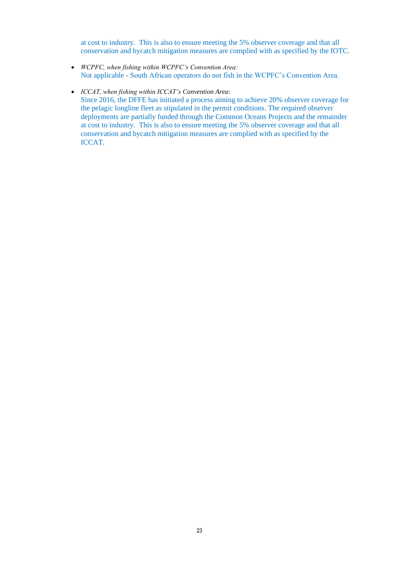at cost to industry. This is also to ensure meeting the 5% observer coverage and that all conservation and bycatch mitigation measures are complied with as specified by the IOTC.

• *WCPFC, when fishing within WCPFC's Convention Area:* Not applicable - South African operators do not fish in the WCPFC's Convention Area.

#### • *ICCAT, when fishing within ICCAT's Convention Area:*

Since 2016, the DFFE has initiated a process aiming to achieve 20% observer coverage for the pelagic longline fleet as stipulated in the permit conditions. The required observer deployments are partially funded through the Common Oceans Projects and the remainder at cost to industry. This is also to ensure meeting the 5% observer coverage and that all conservation and bycatch mitigation measures are complied with as specified by the ICCAT.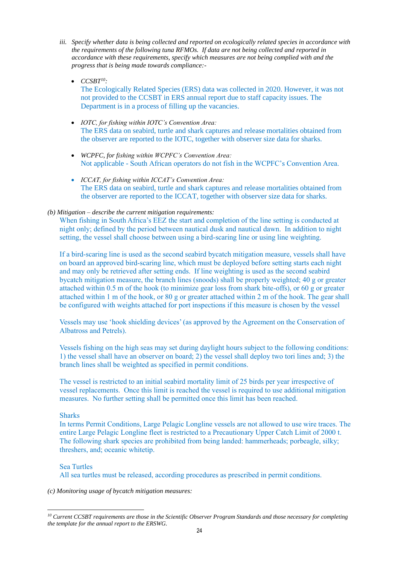- *iii. Specify whether data is being collected and reported on ecologically related species in accordance with the requirements of the following tuna RFMOs. If data are not being collected and reported in accordance with these requirements, specify which measures are not being complied with and the progress that is being made towards compliance:-*
	- *CCSBT<sup>10</sup>:* The Ecologically Related Species (ERS) data was collected in 2020. However, it was not not provided to the CCSBT in ERS annual report due to staff capacity issues. The Department is in a process of filling up the vacancies.
	- *IOTC, for fishing within IOTC's Convention Area:* The ERS data on seabird, turtle and shark captures and release mortalities obtained from the observer are reported to the IOTC, together with observer size data for sharks.
	- *WCPFC, for fishing within WCPFC's Convention Area:* Not applicable - South African operators do not fish in the WCPFC's Convention Area.
	- *ICCAT, for fishing within ICCAT's Convention Area:* The ERS data on seabird, turtle and shark captures and release mortalities obtained from the observer are reported to the ICCAT, together with observer size data for sharks.

#### *(b) Mitigation – describe the current mitigation requirements:*

When fishing in South Africa's EEZ the start and completion of the line setting is conducted at night only; defined by the period between nautical dusk and nautical dawn. In addition to night setting, the vessel shall choose between using a bird-scaring line or using line weighting.

If a bird-scaring line is used as the second seabird bycatch mitigation measure, vessels shall have on board an approved bird-scaring line, which must be deployed before setting starts each night and may only be retrieved after setting ends. If line weighting is used as the second seabird bycatch mitigation measure, the branch lines (snoods) shall be properly weighted; 40 g or greater attached within 0.5 m of the hook (to minimize gear loss from shark bite-offs), or 60 g or greater attached within 1 m of the hook, or 80 g or greater attached within 2 m of the hook. The gear shall be configured with weights attached for port inspections if this measure is chosen by the vessel

Vessels may use 'hook shielding devices' (as approved by the Agreement on the Conservation of Albatross and Petrels).

Vessels fishing on the high seas may set during daylight hours subject to the following conditions: 1) the vessel shall have an observer on board; 2) the vessel shall deploy two tori lines and; 3) the branch lines shall be weighted as specified in permit conditions.

The vessel is restricted to an initial seabird mortality limit of 25 birds per year irrespective of vessel replacements. Once this limit is reached the vessel is required to use additional mitigation measures. No further setting shall be permitted once this limit has been reached.

#### **Sharks**

In terms Permit Conditions, Large Pelagic Longline vessels are not allowed to use wire traces. The entire Large Pelagic Longline fleet is restricted to a Precautionary Upper Catch Limit of 2000 t. The following shark species are prohibited from being landed: hammerheads; porbeagle, silky; threshers, and; oceanic whitetip.

#### Sea Turtles

All sea turtles must be released, according procedures as prescribed in permit conditions.

*(c) Monitoring usage of bycatch mitigation measures:*

*<sup>10</sup> Current CCSBT requirements are those in the Scientific Observer Program Standards and those necessary for completing the template for the annual report to the ERSWG.*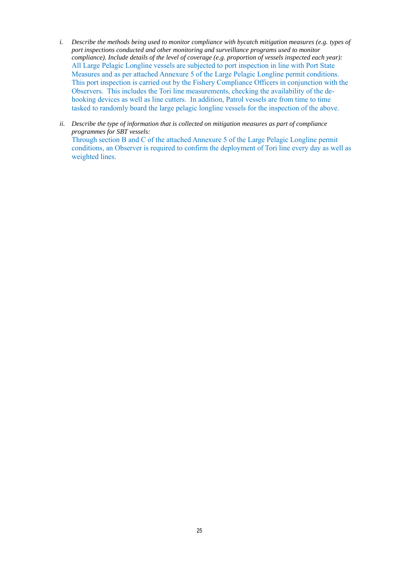- *i. Describe the methods being used to monitor compliance with bycatch mitigation measures (e.g. types of port inspections conducted and other monitoring and surveillance programs used to monitor compliance). Include details of the level of coverage (e.g. proportion of vessels inspected each year):* All Large Pelagic Longline vessels are subjected to port inspection in line with Port State Measures and as per attached Annexure 5 of the Large Pelagic Longline permit conditions. This port inspection is carried out by the Fishery Compliance Officers in conjunction with the Observers. This includes the Tori line measurements, checking the availability of the dehooking devices as well as line cutters. In addition, Patrol vessels are from time to time tasked to randomly board the large pelagic longline vessels for the inspection of the above.
- *ii. Describe the type of information that is collected on mitigation measures as part of compliance programmes for SBT vessels:* Through section B and C of the attached Annexure 5 of the Large Pelagic Longline permit conditions, an Observer is required to confirm the deployment of Tori line every day as well as weighted lines.